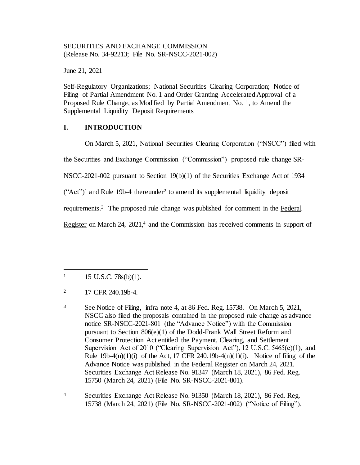## SECURITIES AND EXCHANGE COMMISSION (Release No. 34-92213; File No. SR-NSCC-2021-002)

June 21, 2021

Self-Regulatory Organizations; National Securities Clearing Corporation; Notice of Filing of Partial Amendment No. 1 and Order Granting Accelerated Approval of a Proposed Rule Change, as Modified by Partial Amendment No. 1, to Amend the Supplemental Liquidity Deposit Requirements

# **I. INTRODUCTION**

On March 5, 2021, National Securities Clearing Corporation ("NSCC") filed with

the Securities and Exchange Commission ("Commission") proposed rule change SR-

NSCC-2021-002 pursuant to Section 19(b)(1) of the Securities Exchange Act of 1934

 $("Act")<sup>1</sup>$  and Rule 19b-4 thereunder<sup>2</sup> to amend its supplemental liquidity deposit

requirements.<sup>3</sup> The proposed rule change was published for comment in the Federal

Register on March 24, 2021,<sup>4</sup> and the Commission has received comments in support of

 $1 \qquad 15 \text{ U.S.C. } 78 \text{s(b)}(1).$ 

<sup>&</sup>lt;sup>2</sup> 17 CFR 240.19b-4.

<sup>3</sup> See Notice of Filing, infra note 4, at 86 Fed. Reg. 15738. On March 5, 2021, NSCC also filed the proposals contained in the proposed rule change as advance notice SR-NSCC-2021-801 (the "Advance Notice") with the Commission pursuant to Section 806(e)(1) of the Dodd-Frank Wall Street Reform and Consumer Protection Act entitled the Payment, Clearing, and Settlement Supervision Act of 2010 ("Clearing Supervision Act"), 12 U.S.C. 5465(e)(1), and Rule  $19b-4(n)(1)(i)$  of the Act, 17 CFR 240.19b-4 $(n)(1)(i)$ . Notice of filing of the Advance Notice was published in the Federal Register on March 24, 2021. Securities Exchange Act Release No. 91347 (March 18, 2021), 86 Fed. Reg. 15750 (March 24, 2021) (File No. SR-NSCC-2021-801).

<sup>4</sup> Securities Exchange Act Release No. 91350 (March 18, 2021), 86 Fed. Reg. 15738 (March 24, 2021) (File No. SR-NSCC-2021-002) ("Notice of Filing").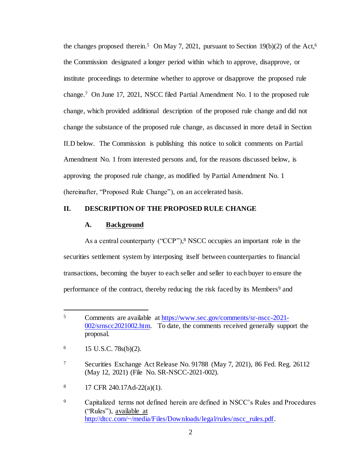the changes proposed therein.<sup>5</sup> On May 7, 2021, pursuant to Section 19(b)(2) of the Act,<sup>6</sup> the Commission designated a longer period within which to approve, disapprove, or institute proceedings to determine whether to approve or disapprove the proposed rule change.<sup>7</sup> On June 17, 2021, NSCC filed Partial Amendment No. 1 to the proposed rule change, which provided additional description of the proposed rule change and did not change the substance of the proposed rule change, as discussed in more detail in Section II.D below. The Commission is publishing this notice to solicit comments on Partial Amendment No. 1 from interested persons and, for the reasons discussed below, is approving the proposed rule change, as modified by Partial Amendment No. 1 (hereinafter, "Proposed Rule Change"), on an accelerated basis.

### **II. DESCRIPTION OF THE PROPOSED RULE CHANGE**

#### **A. Background**

As a central counterparty ("CCP"),<sup>8</sup> NSCC occupies an important role in the securities settlement system by interposing itself between counterparties to financial transactions, becoming the buyer to each seller and seller to each buyer to ensure the performance of the contract, thereby reducing the risk faced by its Members<sup>9</sup> and

<sup>5</sup> Comments are available at [https://www.sec.gov/comments/sr-nscc-2021-](https://www.sec.gov/comments/sr-nscc-2021-002/srnscc2021002.htm) [002/srnscc2021002.htm.](https://www.sec.gov/comments/sr-nscc-2021-002/srnscc2021002.htm) To date, the comments received generally support the proposal.

 $6$  15 U.S.C. 78s(b)(2).

<sup>7</sup> Securities Exchange Act Release No. 91788 (May 7, 2021), 86 Fed. Reg. 26112 (May 12, 2021) (File No. SR-NSCC-2021-002).

<sup>8</sup> 17 CFR 240.17Ad-22(a)(1).

<sup>&</sup>lt;sup>9</sup> Capitalized terms not defined herein are defined in NSCC's Rules and Procedures ("Rules"), available at [http://dtcc.com/~/media/Files/Downloads/legal/rules/nscc\\_rules.pdf.](http://dtcc.com/~/media/Files/Downloads/legal/rules/nscc_rules.pdf)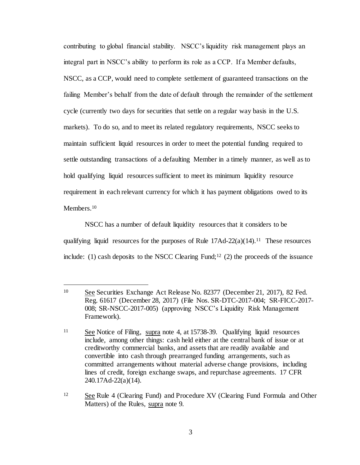contributing to global financial stability. NSCC's liquidity risk management plays an integral part in NSCC's ability to perform its role as a CCP. If a Member defaults, NSCC, as a CCP, would need to complete settlement of guaranteed transactions on the failing Member's behalf from the date of default through the remainder of the settlement cycle (currently two days for securities that settle on a regular way basis in the U.S. markets). To do so, and to meet its related regulatory requirements, NSCC seeks to maintain sufficient liquid resources in order to meet the potential funding required to settle outstanding transactions of a defaulting Member in a timely manner, as well as to hold qualifying liquid resources sufficient to meet its minimum liquidity resource requirement in each relevant currency for which it has payment obligations owed to its Members.<sup>10</sup>

NSCC has a number of default liquidity resources that it considers to be qualifying liquid resources for the purposes of Rule  $17Ad-22(a)(14).$ <sup>11</sup> These resources include: (1) cash deposits to the NSCC Clearing Fund;<sup>12</sup> (2) the proceeds of the issuance

l

<sup>12</sup> See Rule 4 (Clearing Fund) and Procedure XV (Clearing Fund Formula and Other Matters) of the Rules, supra note 9.

<sup>10</sup> See Securities Exchange Act Release No. 82377 (December 21, 2017), 82 Fed. Reg. 61617 (December 28, 2017) (File Nos. SR-DTC-2017-004; SR-FICC-2017- 008; SR-NSCC-2017-005) (approving NSCC's Liquidity Risk Management Framework).

<sup>11</sup> See Notice of Filing, supra note 4, at 15738-39. Qualifying liquid resources include, among other things: cash held either at the central bank of issue or at creditworthy commercial banks, and assets that are readily available and convertible into cash through prearranged funding arrangements, such as committed arrangements without material adverse change provisions, including lines of credit, foreign exchange swaps, and repurchase agreements. 17 CFR 240.17Ad-22(a)(14).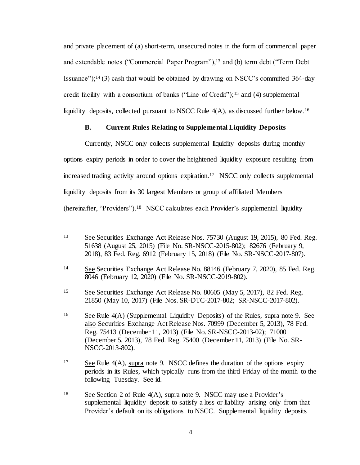and private placement of (a) short-term, unsecured notes in the form of commercial paper and extendable notes ("Commercial Paper Program"),<sup>13</sup> and (b) term debt ("Term Debt Issuance");<sup>14</sup> (3) cash that would be obtained by drawing on NSCC's committed 364-day credit facility with a consortium of banks ("Line of Credit");<sup>15</sup> and (4) supplemental liquidity deposits, collected pursuant to NSCC Rule 4(A), as discussed further below.<sup>16</sup>

### **B. Current Rules Relating to Supplemental Liquidity Deposits**

Currently, NSCC only collects supplemental liquidity deposits during monthly options expiry periods in order to cover the heightened liquidity exposure resulting from increased trading activity around options expiration.<sup>17</sup> NSCC only collects supplemental liquidity deposits from its 30 largest Members or group of affiliated Members (hereinafter, "Providers").<sup>18</sup> NSCC calculates each Provider's supplemental liquidity

<sup>&</sup>lt;sup>13</sup> See Securities Exchange Act Release Nos. 75730 (August 19, 2015), 80 Fed. Reg. 51638 (August 25, 2015) (File No. SR-NSCC-2015-802); 82676 (February 9, 2018), 83 Fed. Reg. 6912 (February 15, 2018) (File No. SR-NSCC-2017-807).

<sup>14</sup> See Securities Exchange Act Release No. 88146 (February 7, 2020), 85 Fed. Reg. 8046 (February 12, 2020) (File No. SR-NSCC-2019-802).

<sup>15</sup> See Securities Exchange Act Release No. 80605 (May 5, 2017), 82 Fed. Reg. 21850 (May 10, 2017) (File Nos. SR-DTC-2017-802; SR-NSCC-2017-802).

<sup>&</sup>lt;sup>16</sup> See Rule 4(A) (Supplemental Liquidity Deposits) of the Rules, supra note 9. See also Securities Exchange Act Release Nos. 70999 (December 5, 2013), 78 Fed. Reg. 75413 (December 11, 2013) (File No. SR-NSCC-2013-02); 71000 (December 5, 2013), 78 Fed. Reg. 75400 (December 11, 2013) (File No. SR-NSCC-2013-802).

 $17$  See Rule 4(A), supra note 9. NSCC defines the duration of the options expiry periods in its Rules, which typically runs from the third Friday of the month to the following Tuesday. See id.

<sup>&</sup>lt;sup>18</sup> See Section 2 of Rule  $4(A)$ , supra note 9. NSCC may use a Provider's supplemental liquidity deposit to satisfy a loss or liability arising only from that Provider's default on its obligations to NSCC. Supplemental liquidity deposits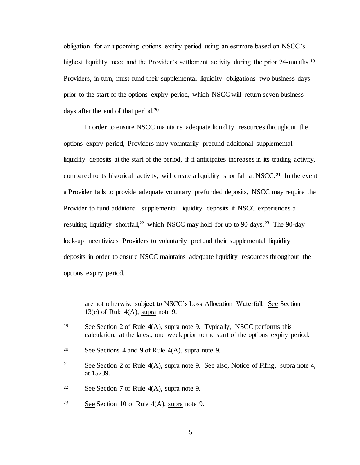obligation for an upcoming options expiry period using an estimate based on NSCC's highest liquidity need and the Provider's settlement activity during the prior 24-months.<sup>19</sup> Providers, in turn, must fund their supplemental liquidity obligations two business days prior to the start of the options expiry period, which NSCC will return seven business days after the end of that period.<sup>20</sup>

In order to ensure NSCC maintains adequate liquidity resources throughout the options expiry period, Providers may voluntarily prefund additional supplemental liquidity deposits at the start of the period, if it anticipates increases in its trading activity, compared to its historical activity, will create a liquidity shortfall at NSCC.<sup>21</sup> In the event a Provider fails to provide adequate voluntary prefunded deposits, NSCC may require the Provider to fund additional supplemental liquidity deposits if NSCC experiences a resulting liquidity shortfall,<sup>22</sup> which NSCC may hold for up to 90 days.<sup>23</sup> The 90-day lock-up incentivizes Providers to voluntarily prefund their supplemental liquidity deposits in order to ensure NSCC maintains adequate liquidity resources throughout the options expiry period.

j

are not otherwise subject to NSCC's Loss Allocation Waterfall. See Section 13(c) of Rule  $4(A)$ , supra note 9.

<sup>&</sup>lt;sup>19</sup> See Section 2 of Rule  $4(A)$ , supra note 9. Typically, NSCC performs this calculation, at the latest, one week prior to the start of the options expiry period.

<sup>&</sup>lt;sup>20</sup> See Sections 4 and 9 of Rule  $4(A)$ , supra note 9.

<sup>&</sup>lt;sup>21</sup> See Section 2 of Rule  $4(A)$ , supra note 9. See also, Notice of Filing, supra note 4, at 15739.

<sup>&</sup>lt;sup>22</sup> See Section 7 of Rule  $4(A)$ , supra note 9.

<sup>23</sup> See Section 10 of Rule 4(A), supra note 9.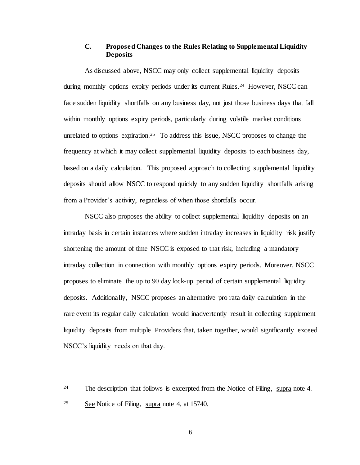# **C. Proposed Changes to the Rules Relating to Supplemental Liquidity Deposits**

As discussed above, NSCC may only collect supplemental liquidity deposits during monthly options expiry periods under its current Rules.<sup>24</sup> However, NSCC can face sudden liquidity shortfalls on any business day, not just those business days that fall within monthly options expiry periods, particularly during volatile market conditions unrelated to options expiration.<sup>25</sup> To address this issue, NSCC proposes to change the frequency at which it may collect supplemental liquidity deposits to each business day, based on a daily calculation. This proposed approach to collecting supplemental liquidity deposits should allow NSCC to respond quickly to any sudden liquidity shortfalls arising from a Provider's activity, regardless of when those shortfalls occur.

NSCC also proposes the ability to collect supplemental liquidity deposits on an intraday basis in certain instances where sudden intraday increases in liquidity risk justify shortening the amount of time NSCC is exposed to that risk, including a mandatory intraday collection in connection with monthly options expiry periods. Moreover, NSCC proposes to eliminate the up to 90 day lock-up period of certain supplemental liquidity deposits. Additionally, NSCC proposes an alternative pro rata daily calculation in the rare event its regular daily calculation would inadvertently result in collecting supplement liquidity deposits from multiple Providers that, taken together, would significantly exceed NSCC's liquidity needs on that day.

<sup>&</sup>lt;sup>24</sup> The description that follows is excerpted from the Notice of Filing, supra note 4.

<sup>25</sup> See Notice of Filing, supra note 4, at 15740.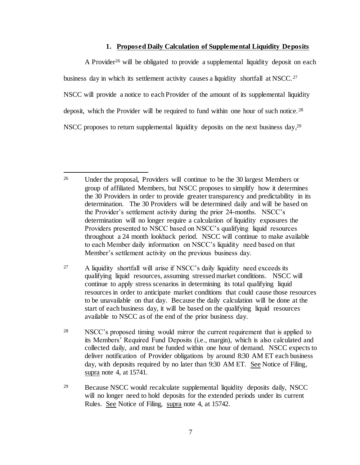#### **1. Proposed Daily Calculation of Supplemental Liquidity Deposits**

A Provider<sup>26</sup> will be obligated to provide a supplemental liquidity deposit on each business day in which its settlement activity causes a liquidity shortfall at NSCC.<sup>27</sup> NSCC will provide a notice to each Provider of the amount of its supplemental liquidity deposit, which the Provider will be required to fund within one hour of such notice.<sup>28</sup> NSCC proposes to return supplemental liquidity deposits on the next business day,<sup>29</sup>

<sup>26</sup> Under the proposal, Providers will continue to be the 30 largest Members or group of affiliated Members, but NSCC proposes to simplify how it determines the 30 Providers in order to provide greater transparency and predictability in its determination. The 30 Providers will be determined daily and will be based on the Provider's settlement activity during the prior 24-months. NSCC's determination will no longer require a calculation of liquidity exposures the Providers presented to NSCC based on NSCC's qualifying liquid resources throughout a 24 month lookback period. NSCC will continue to make available to each Member daily information on NSCC's liquidity need based on that Member's settlement activity on the previous business day.

<sup>&</sup>lt;sup>27</sup> A liquidity shortfall will arise if NSCC's daily liquidity need exceeds its qualifying liquid resources, assuming stressed market conditions. NSCC will continue to apply stress scenarios in determining its total qualifying liquid resources in order to anticipate market conditions that could cause those resources to be unavailable on that day. Because the daily calculation will be done at the start of each business day, it will be based on the qualifying liquid resources available to NSCC as of the end of the prior business day.

<sup>28</sup> NSCC's proposed timing would mirror the current requirement that is applied to its Members' Required Fund Deposits (i.e., margin), which is also calculated and collected daily, and must be funded within one hour of demand. NSCC expects to deliver notification of Provider obligations by around 8:30 AM ET each business day, with deposits required by no later than 9:30 AM ET. See Notice of Filing, supra note 4, at 15741.

<sup>29</sup> Because NSCC would recalculate supplemental liquidity deposits daily, NSCC will no longer need to hold deposits for the extended periods under its current Rules. See Notice of Filing, supra note 4, at 15742.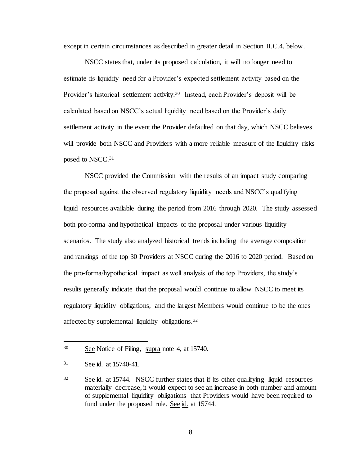except in certain circumstances as described in greater detail in Section II.C.4. below.

NSCC states that, under its proposed calculation, it will no longer need to estimate its liquidity need for a Provider's expected settlement activity based on the Provider's historical settlement activity.<sup>30</sup> Instead, each Provider's deposit will be calculated based on NSCC's actual liquidity need based on the Provider's daily settlement activity in the event the Provider defaulted on that day, which NSCC believes will provide both NSCC and Providers with a more reliable measure of the liquidity risks posed to NSCC.<sup>31</sup>

NSCC provided the Commission with the results of an impact study comparing the proposal against the observed regulatory liquidity needs and NSCC's qualifying liquid resources available during the period from 2016 through 2020. The study assessed both pro-forma and hypothetical impacts of the proposal under various liquidity scenarios. The study also analyzed historical trends including the average composition and rankings of the top 30 Providers at NSCC during the 2016 to 2020 period. Based on the pro-forma/hypothetical impact as well analysis of the top Providers, the study's results generally indicate that the proposal would continue to allow NSCC to meet its regulatory liquidity obligations, and the largest Members would continue to be the ones affected by supplemental liquidity obligations.<sup>32</sup>

<sup>30</sup> See Notice of Filing, supra note 4, at 15740.

<sup>31</sup> See id. at 15740-41.

<sup>32</sup> See id. at 15744. NSCC further states that if its other qualifying liquid resources materially decrease, it would expect to see an increase in both number and amount of supplemental liquidity obligations that Providers would have been required to fund under the proposed rule. See id. at 15744.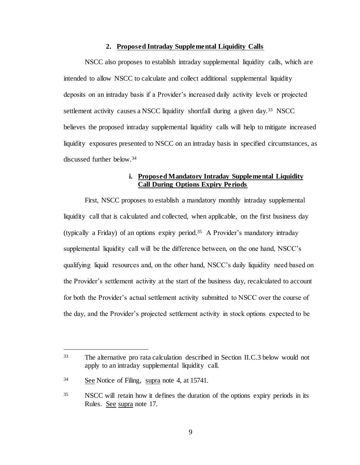#### **2. Proposed Intraday Supplemental Liquidity Calls**

NSCC also proposes to establish intraday supplemental liquidity calls, which are intended to allow NSCC to calculate and collect additional supplemental liquidity deposits on an intraday basis if a Provider's increased daily activity levels or projected settlement activity causes a NSCC liquidity shortfall during a given day.<sup>33</sup> NSCC believes the proposed intraday supplemental liquidity calls will help to mitigate increased liquidity exposures presented to NSCC on an intraday basis in specified circumstances, as discussed further below.<sup>34</sup>

### **i. Proposed Mandatory Intraday Supplemental Liquidity Call During Options Expiry Periods**

First, NSCC proposes to establish a mandatory monthly intraday supplemental liquidity call that is calculated and collected, when applicable, on the first business day (typically a Friday) of an options expiry period.<sup>35</sup> A Provider's mandatory intraday supplemental liquidity call will be the difference between, on the one hand, NSCC's qualifying liquid resources and, on the other hand, NSCC's daily liquidity need based on the Provider's settlement activity at the start of the business day, recalculated to account for both the Provider's actual settlement activity submitted to NSCC over the course of the day, and the Provider's projected settlement activity in stock options expected to be

<sup>33</sup> The alternative pro rata calculation described in Section II.C.3 below would not apply to an intraday supplemental liquidity call.

<sup>34</sup> See Notice of Filing, supra note 4, at 15741.

<sup>35</sup> NSCC will retain how it defines the duration of the options expiry periods in its Rules. See supra note 17.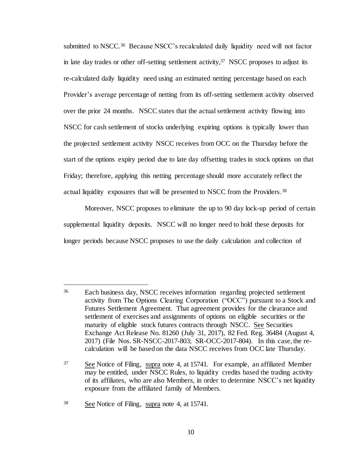submitted to NSCC.<sup>36</sup> Because NSCC's recalculated daily liquidity need will not factor in late day trades or other off-setting settlement activity,  $37$  NSCC proposes to adjust its re-calculated daily liquidity need using an estimated netting percentage based on each Provider's average percentage of netting from its off-setting settlement activity observed over the prior 24 months. NSCC states that the actual settlement activity flowing into NSCC for cash settlement of stocks underlying expiring options is typically lower than the projected settlement activity NSCC receives from OCC on the Thursday before the start of the options expiry period due to late day offsetting trades in stock options on that Friday; therefore, applying this netting percentage should more accurately reflect the actual liquidity exposures that will be presented to NSCC from the Providers.<sup>38</sup>

Moreover, NSCC proposes to eliminate the up to 90 day lock-up period of certain supplemental liquidity deposits. NSCC will no longer need to hold these deposits for longer periods because NSCC proposes to use the daily calculation and collection of

<sup>38</sup> See Notice of Filing, supra note 4, at 15741.

<sup>36</sup> Each business day, NSCC receives information regarding projected settlement activity from The Options Clearing Corporation ("OCC") pursuant to a Stock and Futures Settlement Agreement. That agreement provides for the clearance and settlement of exercises and assignments of options on eligible securities or the maturity of eligible stock futures contracts through NSCC. See Securities Exchange Act Release No. 81260 (July 31, 2017), 82 Fed. Reg. 36484 (August 4, 2017) (File Nos. SR-NSCC-2017-803; SR-OCC-2017-804). In this case, the recalculation will be based on the data NSCC receives from OCC late Thursday.

<sup>37</sup> See Notice of Filing, supra note 4, at 15741. For example, an affiliated Member may be entitled, under NSCC Rules, to liquidity credits based the trading activity of its affiliates, who are also Members, in order to determine NSCC's net liquidity exposure from the affiliated family of Members.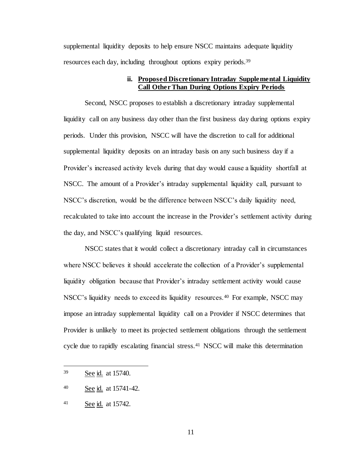supplemental liquidity deposits to help ensure NSCC maintains adequate liquidity resources each day, including throughout options expiry periods.<sup>39</sup>

## **ii. Proposed Discretionary Intraday Supplemental Liquidity Call Other Than During Options Expiry Periods**

Second, NSCC proposes to establish a discretionary intraday supplemental liquidity call on any business day other than the first business day during options expiry periods. Under this provision, NSCC will have the discretion to call for additional supplemental liquidity deposits on an intraday basis on any such business day if a Provider's increased activity levels during that day would cause a liquidity shortfall at NSCC. The amount of a Provider's intraday supplemental liquidity call, pursuant to NSCC's discretion, would be the difference between NSCC's daily liquidity need, recalculated to take into account the increase in the Provider's settlement activity during the day, and NSCC's qualifying liquid resources.

NSCC states that it would collect a discretionary intraday call in circumstances where NSCC believes it should accelerate the collection of a Provider's supplemental liquidity obligation because that Provider's intraday settlement activity would cause NSCC's liquidity needs to exceed its liquidity resources.<sup>40</sup> For example, NSCC may impose an intraday supplemental liquidity call on a Provider if NSCC determines that Provider is unlikely to meet its projected settlement obligations through the settlement cycle due to rapidly escalating financial stress.<sup>41</sup> NSCC will make this determination

<sup>39</sup> See id. at 15740.

<sup>40</sup> See id. at 15741-42.

<sup>41</sup> See id. at 15742.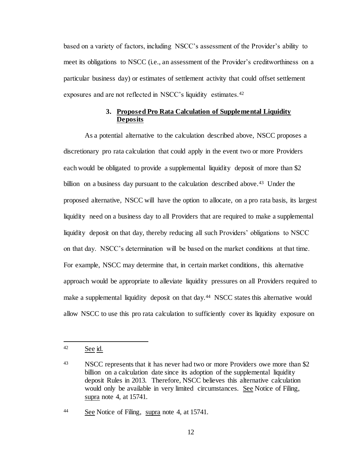based on a variety of factors, including NSCC's assessment of the Provider's ability to meet its obligations to NSCC (i.e., an assessment of the Provider's creditworthiness on a particular business day) or estimates of settlement activity that could offset settlement exposures and are not reflected in NSCC's liquidity estimates.<sup>42</sup>

## **3. Proposed Pro Rata Calculation of Supplemental Liquidity Deposits**

As a potential alternative to the calculation described above, NSCC proposes a discretionary pro rata calculation that could apply in the event two or more Providers each would be obligated to provide a supplemental liquidity deposit of more than \$2 billion on a business day pursuant to the calculation described above.<sup>43</sup> Under the proposed alternative, NSCC will have the option to allocate, on a pro rata basis, its largest liquidity need on a business day to all Providers that are required to make a supplemental liquidity deposit on that day, thereby reducing all such Providers' obligations to NSCC on that day. NSCC's determination will be based on the market conditions at that time. For example, NSCC may determine that, in certain market conditions, this alternative approach would be appropriate to alleviate liquidity pressures on all Providers required to make a supplemental liquidity deposit on that day.<sup>44</sup> NSCC states this alternative would allow NSCC to use this pro rata calculation to sufficiently cover its liquidity exposure on

l

<sup>44</sup> See Notice of Filing, supra note 4, at 15741.

<sup>42</sup> See id.

<sup>&</sup>lt;sup>43</sup> NSCC represents that it has never had two or more Providers owe more than \$2 billion on a calculation date since its adoption of the supplemental liquidity deposit Rules in 2013. Therefore, NSCC believes this alternative calculation would only be available in very limited circumstances. See Notice of Filing, supra note 4, at 15741.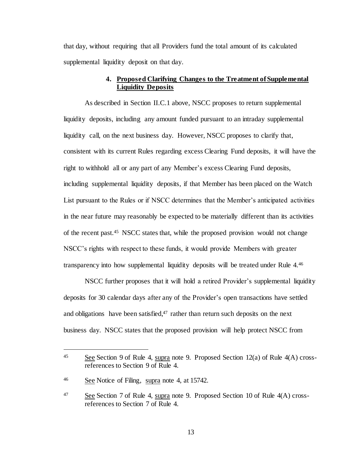that day, without requiring that all Providers fund the total amount of its calculated supplemental liquidity deposit on that day.

## **4. Proposed Clarifying Changes to the Treatment of Supplemental Liquidity Deposits**

As described in Section II.C.1 above, NSCC proposes to return supplemental liquidity deposits, including any amount funded pursuant to an intraday supplemental liquidity call, on the next business day. However, NSCC proposes to clarify that, consistent with its current Rules regarding excess Clearing Fund deposits, it will have the right to withhold all or any part of any Member's excess Clearing Fund deposits, including supplemental liquidity deposits, if that Member has been placed on the Watch List pursuant to the Rules or if NSCC determines that the Member's anticipated activities in the near future may reasonably be expected to be materially different than its activities of the recent past.<sup>45</sup> NSCC states that, while the proposed provision would not change NSCC's rights with respect to these funds, it would provide Members with greater transparency into how supplemental liquidity deposits will be treated under Rule 4.<sup>46</sup>

NSCC further proposes that it will hold a retired Provider's supplemental liquidity deposits for 30 calendar days after any of the Provider's open transactions have settled and obligations have been satisfied, <sup>47</sup> rather than return such deposits on the next business day. NSCC states that the proposed provision will help protect NSCC from

<sup>45</sup> See Section 9 of Rule 4, supra note 9. Proposed Section 12(a) of Rule 4(A) crossreferences to Section 9 of Rule 4.

<sup>46</sup> See Notice of Filing, supra note 4, at 15742.

<sup>47</sup> See Section 7 of Rule 4, supra note 9. Proposed Section 10 of Rule 4(A) crossreferences to Section 7 of Rule 4.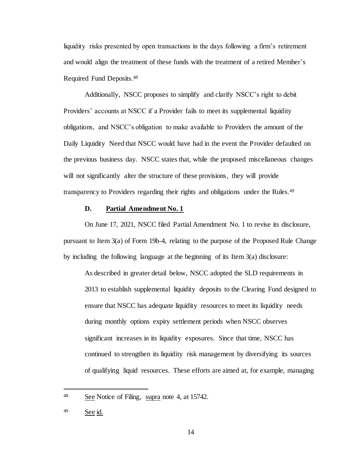liquidity risks presented by open transactions in the days following a firm's retirement and would align the treatment of these funds with the treatment of a retired Member's Required Fund Deposits.<sup>48</sup>

Additionally, NSCC proposes to simplify and clarify NSCC's right to debit Providers' accounts at NSCC if a Provider fails to meet its supplemental liquidity obligations, and NSCC's obligation to make available to Providers the amount of the Daily Liquidity Need that NSCC would have had in the event the Provider defaulted on the previous business day. NSCC states that, while the proposed miscellaneous changes will not significantly alter the structure of these provisions, they will provide transparency to Providers regarding their rights and obligations under the Rules.<sup>49</sup>

### **D. Partial Amendment No. 1**

On June 17, 2021, NSCC filed Partial Amendment No. 1 to revise its disclosure, pursuant to Item 3(a) of Form 19b-4, relating to the purpose of the Proposed Rule Change by including the following language at the beginning of its Item 3(a) disclosure:

As described in greater detail below, NSCC adopted the SLD requirements in 2013 to establish supplemental liquidity deposits to the Clearing Fund designed to ensure that NSCC has adequate liquidity resources to meet its liquidity needs during monthly options expiry settlement periods when NSCC observes significant increases in its liquidity exposures. Since that time, NSCC has continued to strengthen its liquidity risk management by diversifying its sources of qualifying liquid resources. These efforts are aimed at, for example, managing

j

<sup>48</sup> See Notice of Filing, supra note 4, at 15742.

 $49$  See id.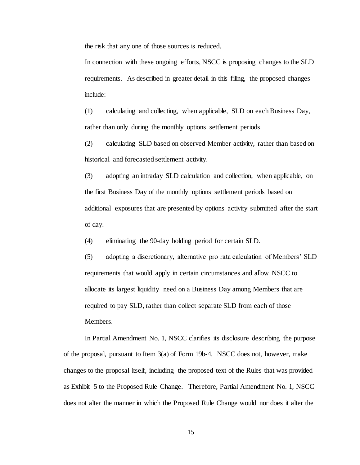the risk that any one of those sources is reduced.

In connection with these ongoing efforts, NSCC is proposing changes to the SLD requirements. As described in greater detail in this filing, the proposed changes include:

(1) calculating and collecting, when applicable, SLD on each Business Day, rather than only during the monthly options settlement periods.

(2) calculating SLD based on observed Member activity, rather than based on historical and forecasted settlement activity.

(3) adopting an intraday SLD calculation and collection, when applicable, on the first Business Day of the monthly options settlement periods based on additional exposures that are presented by options activity submitted after the start of day.

(4) eliminating the 90-day holding period for certain SLD.

(5) adopting a discretionary, alternative pro rata calculation of Members' SLD requirements that would apply in certain circumstances and allow NSCC to allocate its largest liquidity need on a Business Day among Members that are required to pay SLD, rather than collect separate SLD from each of those Members.

In Partial Amendment No. 1, NSCC clarifies its disclosure describing the purpose of the proposal, pursuant to Item 3(a) of Form 19b-4. NSCC does not, however, make changes to the proposal itself, including the proposed text of the Rules that was provided as Exhibit 5 to the Proposed Rule Change. Therefore, Partial Amendment No. 1, NSCC does not alter the manner in which the Proposed Rule Change would nor does it alter the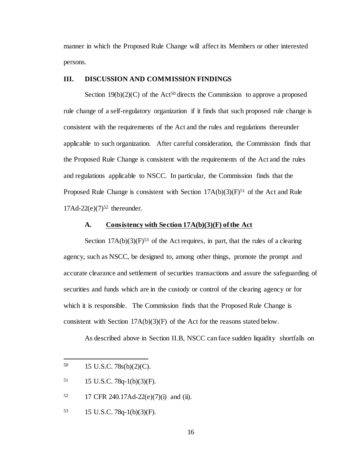manner in which the Proposed Rule Change will affect its Members or other interested persons.

#### **III. DISCUSSION AND COMMISSION FINDINGS**

Section  $19(b)(2)(C)$  of the Act<sup>50</sup> directs the Commission to approve a proposed rule change of a self-regulatory organization if it finds that such proposed rule change is consistent with the requirements of the Act and the rules and regulations thereunder applicable to such organization. After careful consideration, the Commission finds that the Proposed Rule Change is consistent with the requirements of the Act and the rules and regulations applicable to NSCC. In particular, the Commission finds that the Proposed Rule Change is consistent with Section  $17A(b)(3)(F)^{51}$  of the Act and Rule 17Ad-22(e)(7) <sup>52</sup> thereunder.

#### **A. Consistency with Section 17A(b)(3)(F) of the Act**

Section  $17A(b)(3)(F)^{53}$  of the Act requires, in part, that the rules of a clearing agency, such as NSCC, be designed to, among other things, promote the prompt and accurate clearance and settlement of securities transactions and assure the safeguarding of securities and funds which are in the custody or control of the clearing agency or for which it is responsible. The Commission finds that the Proposed Rule Change is consistent with Section  $17A(b)(3)(F)$  of the Act for the reasons stated below.

As described above in Section II.B, NSCC can face sudden liquidity shortfalls on

l

<sup>53</sup> 15 U.S.C. 78q-1(b)(3)(F).

<sup>50</sup> 15 U.S.C. 78s(b)(2)(C).

 $51$  15 U.S.C. 78q-1(b)(3)(F).

<sup>52</sup> 17 CFR 240.17Ad-22(e)(7)(i) and (ii).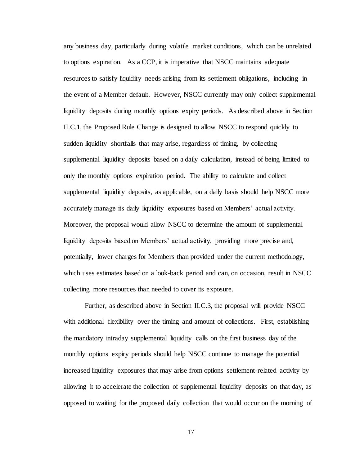any business day, particularly during volatile market conditions, which can be unrelated to options expiration. As a CCP, it is imperative that NSCC maintains adequate resources to satisfy liquidity needs arising from its settlement obligations, including in the event of a Member default. However, NSCC currently may only collect supplemental liquidity deposits during monthly options expiry periods. As described above in Section II.C.1, the Proposed Rule Change is designed to allow NSCC to respond quickly to sudden liquidity shortfalls that may arise, regardless of timing, by collecting supplemental liquidity deposits based on a daily calculation, instead of being limited to only the monthly options expiration period. The ability to calculate and collect supplemental liquidity deposits, as applicable, on a daily basis should help NSCC more accurately manage its daily liquidity exposures based on Members' actual activity. Moreover, the proposal would allow NSCC to determine the amount of supplemental liquidity deposits based on Members' actual activity, providing more precise and, potentially, lower charges for Members than provided under the current methodology, which uses estimates based on a look-back period and can, on occasion, result in NSCC collecting more resources than needed to cover its exposure.

Further, as described above in Section II.C.3, the proposal will provide NSCC with additional flexibility over the timing and amount of collections. First, establishing the mandatory intraday supplemental liquidity calls on the first business day of the monthly options expiry periods should help NSCC continue to manage the potential increased liquidity exposures that may arise from options settlement-related activity by allowing it to accelerate the collection of supplemental liquidity deposits on that day, as opposed to waiting for the proposed daily collection that would occur on the morning of

17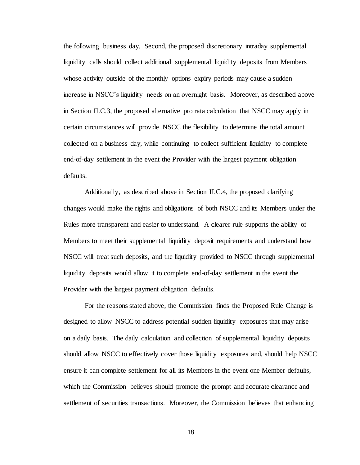the following business day. Second, the proposed discretionary intraday supplemental liquidity calls should collect additional supplemental liquidity deposits from Members whose activity outside of the monthly options expiry periods may cause a sudden increase in NSCC's liquidity needs on an overnight basis. Moreover, as described above in Section II.C.3, the proposed alternative pro rata calculation that NSCC may apply in certain circumstances will provide NSCC the flexibility to determine the total amount collected on a business day, while continuing to collect sufficient liquidity to complete end-of-day settlement in the event the Provider with the largest payment obligation defaults.

Additionally, as described above in Section II.C.4, the proposed clarifying changes would make the rights and obligations of both NSCC and its Members under the Rules more transparent and easier to understand. A clearer rule supports the ability of Members to meet their supplemental liquidity deposit requirements and understand how NSCC will treat such deposits, and the liquidity provided to NSCC through supplemental liquidity deposits would allow it to complete end-of-day settlement in the event the Provider with the largest payment obligation defaults.

For the reasons stated above, the Commission finds the Proposed Rule Change is designed to allow NSCC to address potential sudden liquidity exposures that may arise on a daily basis. The daily calculation and collection of supplemental liquidity deposits should allow NSCC to effectively cover those liquidity exposures and, should help NSCC ensure it can complete settlement for all its Members in the event one Member defaults, which the Commission believes should promote the prompt and accurate clearance and settlement of securities transactions. Moreover, the Commission believes that enhancing

18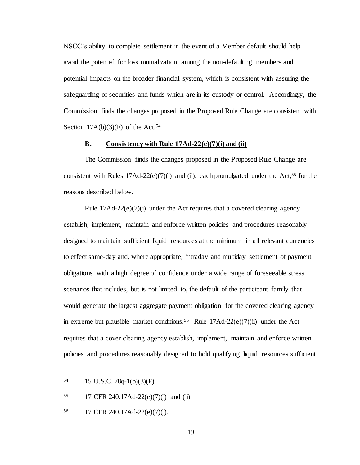NSCC's ability to complete settlement in the event of a Member default should help avoid the potential for loss mutualization among the non-defaulting members and potential impacts on the broader financial system, which is consistent with assuring the safeguarding of securities and funds which are in its custody or control. Accordingly, the Commission finds the changes proposed in the Proposed Rule Change are consistent with Section  $17A(b)(3)(F)$  of the Act.<sup>54</sup>

#### **B. Consistency with Rule 17Ad-22(e)(7)(i) and (ii)**

The Commission finds the changes proposed in the Proposed Rule Change are consistent with Rules  $17Ad-22(e)(7)(i)$  and (ii), each promulgated under the Act,<sup>55</sup> for the reasons described below.

Rule  $17\text{Ad}-22\text{(e)}(7)$ (i) under the Act requires that a covered clearing agency establish, implement, maintain and enforce written policies and procedures reasonably designed to maintain sufficient liquid resources at the minimum in all relevant currencies to effect same-day and, where appropriate, intraday and multiday settlement of payment obligations with a high degree of confidence under a wide range of foreseeable stress scenarios that includes, but is not limited to, the default of the participant family that would generate the largest aggregate payment obligation for the covered clearing agency in extreme but plausible market conditions.<sup>56</sup> Rule 17Ad-22(e)(7)(ii) under the Act requires that a cover clearing agency establish, implement, maintain and enforce written policies and procedures reasonably designed to hold qualifying liquid resources sufficient

l

<sup>55</sup> 17 CFR 240.17Ad-22(e)(7)(i) and (ii).

<sup>56</sup> 17 CFR 240.17Ad-22(e)(7)(i).

<sup>54</sup> 15 U.S.C. 78q-1(b)(3)(F).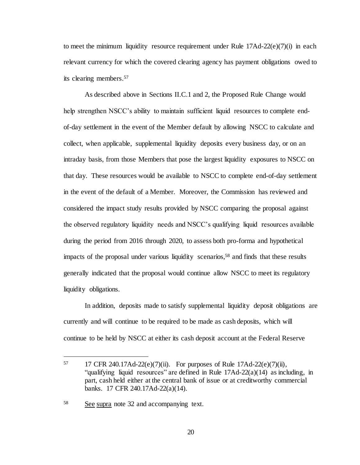to meet the minimum liquidity resource requirement under Rule  $17\text{Ad}-22(e)(7)(i)$  in each relevant currency for which the covered clearing agency has payment obligations owed to its clearing members. 57

As described above in Sections II.C.1 and 2, the Proposed Rule Change would help strengthen NSCC's ability to maintain sufficient liquid resources to complete endof-day settlement in the event of the Member default by allowing NSCC to calculate and collect, when applicable, supplemental liquidity deposits every business day, or on an intraday basis, from those Members that pose the largest liquidity exposures to NSCC on that day. These resources would be available to NSCC to complete end-of-day settlement in the event of the default of a Member. Moreover, the Commission has reviewed and considered the impact study results provided by NSCC comparing the proposal against the observed regulatory liquidity needs and NSCC's qualifying liquid resources available during the period from 2016 through 2020, to assess both pro-forma and hypothetical impacts of the proposal under various liquidity scenarios,<sup>58</sup> and finds that these results generally indicated that the proposal would continue allow NSCC to meet its regulatory liquidity obligations.

In addition, deposits made to satisfy supplemental liquidity deposit obligations are currently and will continue to be required to be made as cash deposits, which will continue to be held by NSCC at either its cash deposit account at the Federal Reserve

<sup>57 17</sup> CFR 240.17Ad-22(e)(7)(ii). For purposes of Rule 17Ad-22(e)(7)(ii), "qualifying liquid resources" are defined in Rule 17Ad-22(a)(14) as including, in part, cash held either at the central bank of issue or at creditworthy commercial banks. 17 CFR 240.17Ad-22(a)(14).

<sup>58</sup> See supra note 32 and accompanying text.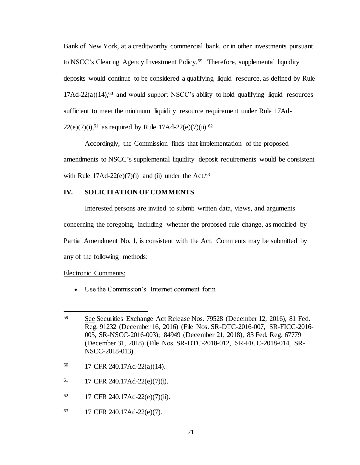Bank of New York, at a creditworthy commercial bank, or in other investments pursuant to NSCC's Clearing Agency Investment Policy.<sup>59</sup> Therefore, supplemental liquidity deposits would continue to be considered a qualifying liquid resource, as defined by Rule  $17\text{Ad}-22(a)(14)$ ,<sup>60</sup> and would support NSCC's ability to hold qualifying liquid resources sufficient to meet the minimum liquidity resource requirement under Rule 17Ad- $22(e)(7)(i)$ , <sup>61</sup> as required by Rule 17Ad-22(e)(7)(ii). <sup>62</sup>

Accordingly, the Commission finds that implementation of the proposed amendments to NSCC's supplemental liquidity deposit requirements would be consistent with Rule  $17\text{Ad}-22(e)(7)(i)$  and (ii) under the Act.<sup>63</sup>

### **IV. SOLICITATION OF COMMENTS**

Interested persons are invited to submit written data, views, and arguments concerning the foregoing, including whether the proposed rule change, as modified by Partial Amendment No. 1, is consistent with the Act. Comments may be submitted by any of the following methods:

#### Electronic Comments:

l

Use the Commission's Internet comment form

- <sup>60</sup> 17 CFR 240.17Ad-22(a)(14).
- $61$  17 CFR 240.17Ad-22(e)(7)(i).
- <sup>62</sup> 17 CFR 240.17Ad-22(e)(7)(ii).
- <sup>63</sup> 17 CFR 240.17Ad-22(e)(7).

<sup>59</sup> See Securities Exchange Act Release Nos. 79528 (December 12, 2016), 81 Fed. Reg. 91232 (December 16, 2016) (File Nos. SR-DTC-2016-007, SR-FICC-2016- 005, SR-NSCC-2016-003); 84949 (December 21, 2018), 83 Fed. Reg. 67779 (December 31, 2018) (File Nos. SR-DTC-2018-012, SR-FICC-2018-014, SR-NSCC-2018-013).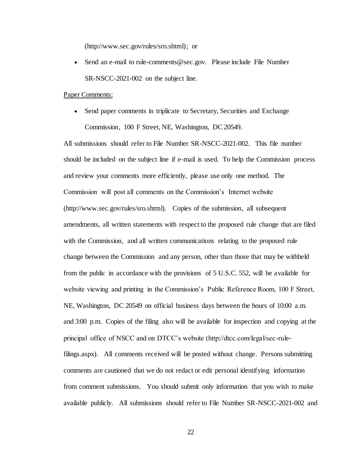(http://www.sec.gov/rules/sro.shtml); or

• Send an e-mail to rule-comments@sec.gov. Please include File Number SR-NSCC-2021-002 on the subject line.

#### Paper Comments:

• Send paper comments in triplicate to Secretary, Securities and Exchange Commission, 100 F Street, NE, Washington, DC 20549.

All submissions should refer to File Number SR-NSCC-2021-002.This file number should be included on the subject line if e-mail is used. To help the Commission process and review your comments more efficiently, please use only one method. The Commission will post all comments on the Commission's Internet website (http://www.sec.gov/rules/sro.shtml). Copies of the submission, all subsequent amendments, all written statements with respect to the proposed rule change that are filed with the Commission, and all written communications relating to the proposed rule change between the Commission and any person, other than those that may be withheld from the public in accordance with the provisions of 5 U.S.C. 552, will be available for website viewing and printing in the Commission's Public Reference Room, 100 F Street, NE, Washington, DC 20549 on official business days between the hours of 10:00 a.m. and 3:00 p.m. Copies of the filing also will be available for inspection and copying at the principal office of NSCC and on DTCC's website (http://dtcc.com/legal/sec-rulefilings.aspx). All comments received will be posted without change. Persons submitting comments are cautioned that we do not redact or edit personal identifying information from comment submissions. You should submit only information that you wish to make available publicly. All submissions should refer to File Number SR-NSCC-2021-002 and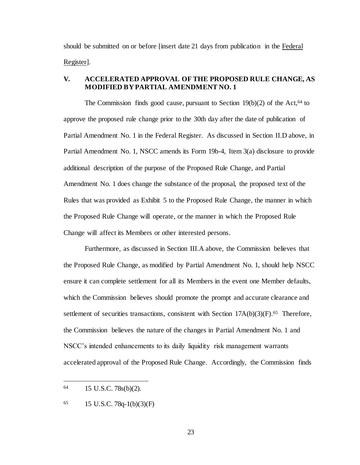should be submitted on or before [insert date 21 days from publication in the Federal Register].

## **V. ACCELERATED APPROVAL OF THE PROPOSED RULE CHANGE, AS MODIFIED BY PARTIAL AMENDMENT NO. 1**

The Commission finds good cause, pursuant to Section  $19(b)(2)$  of the Act, <sup>64</sup> to approve the proposed rule change prior to the 30th day after the date of publication of Partial Amendment No. 1 in the Federal Register. As discussed in Section II.D above, in Partial Amendment No. 1, NSCC amends its Form 19b-4, Item 3(a) disclosure to provide additional description of the purpose of the Proposed Rule Change, and Partial Amendment No. 1 does change the substance of the proposal, the proposed text of the Rules that was provided as Exhibit 5 to the Proposed Rule Change, the manner in which the Proposed Rule Change will operate, or the manner in which the Proposed Rule Change will affect its Members or other interested persons.

Furthermore, as discussed in Section III.A above, the Commission believes that the Proposed Rule Change, as modified by Partial Amendment No. 1, should help NSCC ensure it can complete settlement for all its Members in the event one Member defaults, which the Commission believes should promote the prompt and accurate clearance and settlement of securities transactions, consistent with Section 17A(b)(3)(F).<sup>65</sup> Therefore, the Commission believes the nature of the changes in Partial Amendment No. 1 and NSCC's intended enhancements to its daily liquidity risk management warrants accelerated approval of the Proposed Rule Change. Accordingly, the Commission finds

<sup>64</sup> 15 U.S.C. 78s(b)(2).

<sup>65</sup> 15 U.S.C. 78q-1(b)(3)(F)